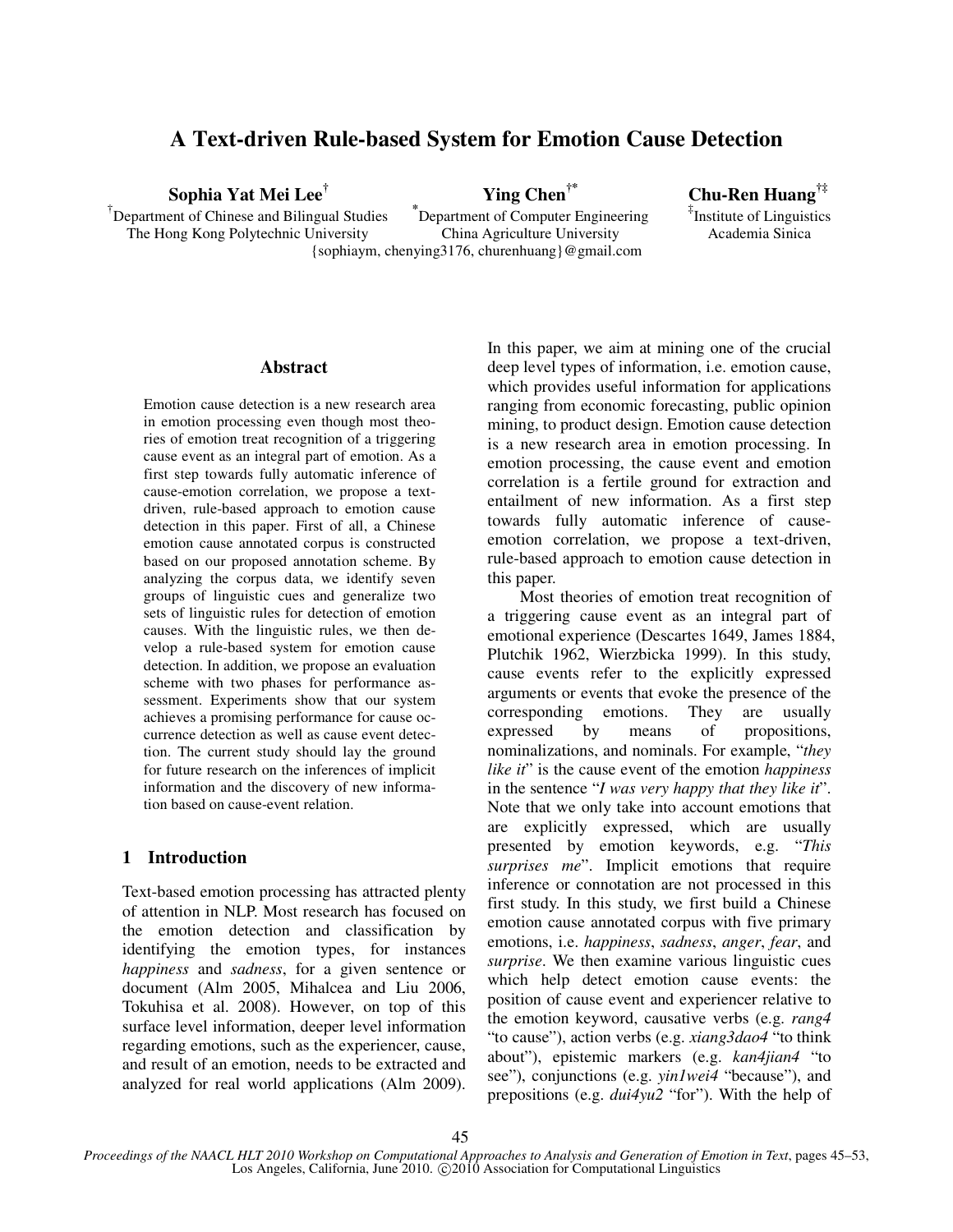# **A Text-driven Rule-based System for Emotion Cause Detection**

**Sophia Yat Mei Lee†**

† Department of Chinese and Bilingual Studies The Hong Kong Polytechnic University {sophiaym, chenying3176, churenhuang}@gmail.com

 **Ying Chen†\* \*** Department of Computer Engineering

China Agriculture University

 **Chu-Ren Huang†‡** ‡ Institute of Linguistics Academia Sinica

#### **Abstract**

Emotion cause detection is a new research area in emotion processing even though most theories of emotion treat recognition of a triggering cause event as an integral part of emotion. As a first step towards fully automatic inference of cause-emotion correlation, we propose a textdriven, rule-based approach to emotion cause detection in this paper. First of all, a Chinese emotion cause annotated corpus is constructed based on our proposed annotation scheme. By analyzing the corpus data, we identify seven groups of linguistic cues and generalize two sets of linguistic rules for detection of emotion causes. With the linguistic rules, we then develop a rule-based system for emotion cause detection. In addition, we propose an evaluation scheme with two phases for performance assessment. Experiments show that our system achieves a promising performance for cause occurrence detection as well as cause event detection. The current study should lay the ground for future research on the inferences of implicit information and the discovery of new information based on cause-event relation.

## **1 Introduction**

Text-based emotion processing has attracted plenty of attention in NLP. Most research has focused on the emotion detection and classification by identifying the emotion types, for instances *happiness* and *sadness*, for a given sentence or document (Alm 2005, Mihalcea and Liu 2006, Tokuhisa et al. 2008). However, on top of this surface level information, deeper level information regarding emotions, such as the experiencer, cause, and result of an emotion, needs to be extracted and analyzed for real world applications (Alm 2009). In this paper, we aim at mining one of the crucial deep level types of information, i.e. emotion cause, which provides useful information for applications ranging from economic forecasting, public opinion mining, to product design. Emotion cause detection is a new research area in emotion processing. In emotion processing, the cause event and emotion correlation is a fertile ground for extraction and entailment of new information. As a first step towards fully automatic inference of causeemotion correlation, we propose a text-driven, rule-based approach to emotion cause detection in this paper.

 Most theories of emotion treat recognition of a triggering cause event as an integral part of emotional experience (Descartes 1649, James 1884, Plutchik 1962, Wierzbicka 1999). In this study, cause events refer to the explicitly expressed arguments or events that evoke the presence of the corresponding emotions. They are usually expressed by means of propositions, nominalizations, and nominals. For example, "*they like it*" is the cause event of the emotion *happiness* in the sentence "*I was very happy that they like it*". Note that we only take into account emotions that are explicitly expressed, which are usually presented by emotion keywords, e.g. "*This surprises me*". Implicit emotions that require inference or connotation are not processed in this first study. In this study, we first build a Chinese emotion cause annotated corpus with five primary emotions, i.e. *happiness*, *sadness*, *anger*, *fear*, and *surprise*. We then examine various linguistic cues which help detect emotion cause events: the position of cause event and experiencer relative to the emotion keyword, causative verbs (e.g. *rang4* "to cause"), action verbs (e.g. *xiang3dao4* "to think about"), epistemic markers (e.g. *kan4jian4* "to see"), conjunctions (e.g. *yin1wei4* "because"), and prepositions (e.g. *dui4yu2* "for"). With the help of

*Proceedings of the NAACL HLT 2010 Workshop on Computational Approaches to Analysis and Generation of Emotion in Text*, pages 45–53, Los Angeles, California, June 2010. ©2010 Association for Computational Linguistics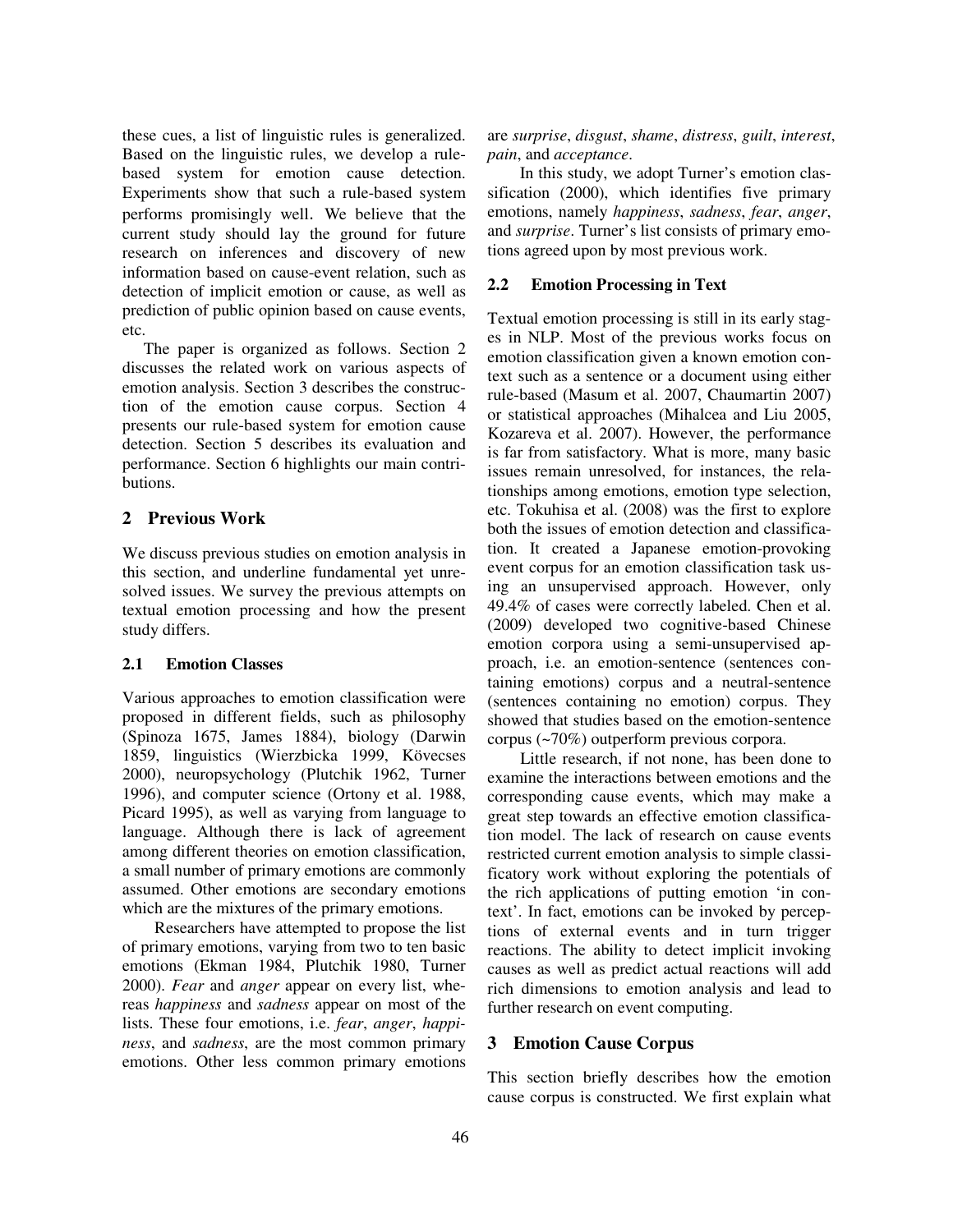these cues, a list of linguistic rules is generalized. Based on the linguistic rules, we develop a rulebased system for emotion cause detection. Experiments show that such a rule-based system performs promisingly well. We believe that the current study should lay the ground for future research on inferences and discovery of new information based on cause-event relation, such as detection of implicit emotion or cause, as well as prediction of public opinion based on cause events, etc.

The paper is organized as follows. Section 2 discusses the related work on various aspects of emotion analysis. Section 3 describes the construction of the emotion cause corpus. Section 4 presents our rule-based system for emotion cause detection. Section 5 describes its evaluation and performance. Section 6 highlights our main contributions.

# **2 Previous Work**

We discuss previous studies on emotion analysis in this section, and underline fundamental yet unresolved issues. We survey the previous attempts on textual emotion processing and how the present study differs.

## **2.1 Emotion Classes**

Various approaches to emotion classification were proposed in different fields, such as philosophy (Spinoza 1675, James 1884), biology (Darwin 1859, linguistics (Wierzbicka 1999, Kövecses 2000), neuropsychology (Plutchik 1962, Turner 1996), and computer science (Ortony et al. 1988, Picard 1995), as well as varying from language to language. Although there is lack of agreement among different theories on emotion classification, a small number of primary emotions are commonly assumed. Other emotions are secondary emotions which are the mixtures of the primary emotions.

Researchers have attempted to propose the list of primary emotions, varying from two to ten basic emotions (Ekman 1984, Plutchik 1980, Turner 2000). *Fear* and *anger* appear on every list, whereas *happiness* and *sadness* appear on most of the lists. These four emotions, i.e. *fear*, *anger*, *happiness*, and *sadness*, are the most common primary emotions. Other less common primary emotions are *surprise*, *disgust*, *shame*, *distress*, *guilt*, *interest*, *pain*, and *acceptance*.

In this study, we adopt Turner's emotion classification (2000), which identifies five primary emotions, namely *happiness*, *sadness*, *fear*, *anger*, and *surprise*. Turner's list consists of primary emotions agreed upon by most previous work.

#### **2.2 Emotion Processing in Text**

Textual emotion processing is still in its early stages in NLP. Most of the previous works focus on emotion classification given a known emotion context such as a sentence or a document using either rule-based (Masum et al. 2007, Chaumartin 2007) or statistical approaches (Mihalcea and Liu 2005, Kozareva et al. 2007). However, the performance is far from satisfactory. What is more, many basic issues remain unresolved, for instances, the relationships among emotions, emotion type selection, etc. Tokuhisa et al. (2008) was the first to explore both the issues of emotion detection and classification. It created a Japanese emotion-provoking event corpus for an emotion classification task using an unsupervised approach. However, only 49.4% of cases were correctly labeled. Chen et al. (2009) developed two cognitive-based Chinese emotion corpora using a semi-unsupervised approach, i.e. an emotion-sentence (sentences containing emotions) corpus and a neutral-sentence (sentences containing no emotion) corpus. They showed that studies based on the emotion-sentence corpus (~70%) outperform previous corpora.

Little research, if not none, has been done to examine the interactions between emotions and the corresponding cause events, which may make a great step towards an effective emotion classification model. The lack of research on cause events restricted current emotion analysis to simple classificatory work without exploring the potentials of the rich applications of putting emotion 'in context'. In fact, emotions can be invoked by perceptions of external events and in turn trigger reactions. The ability to detect implicit invoking causes as well as predict actual reactions will add rich dimensions to emotion analysis and lead to further research on event computing.

## **3 Emotion Cause Corpus**

This section briefly describes how the emotion cause corpus is constructed. We first explain what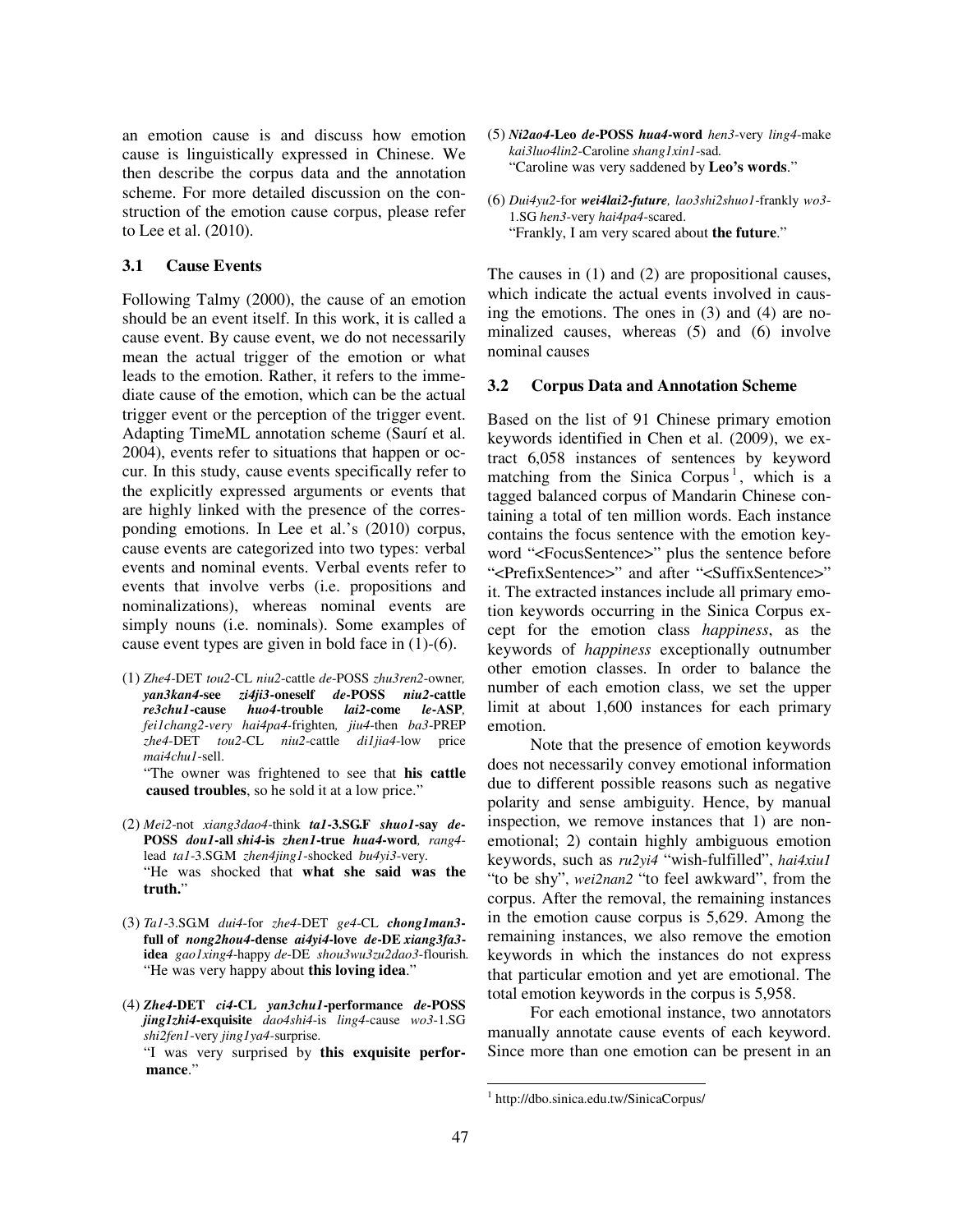an emotion cause is and discuss how emotion cause is linguistically expressed in Chinese. We then describe the corpus data and the annotation scheme. For more detailed discussion on the construction of the emotion cause corpus, please refer to Lee et al. (2010).

## **3.1 Cause Events**

Following Talmy (2000), the cause of an emotion should be an event itself. In this work, it is called a cause event. By cause event, we do not necessarily mean the actual trigger of the emotion or what leads to the emotion. Rather, it refers to the immediate cause of the emotion, which can be the actual trigger event or the perception of the trigger event. Adapting TimeML annotation scheme (Saurí et al. 2004), events refer to situations that happen or occur. In this study, cause events specifically refer to the explicitly expressed arguments or events that are highly linked with the presence of the corresponding emotions. In Lee et al.'s (2010) corpus, cause events are categorized into two types: verbal events and nominal events. Verbal events refer to events that involve verbs (i.e. propositions and nominalizations), whereas nominal events are simply nouns (i.e. nominals). Some examples of cause event types are given in bold face in (1)-(6).

- (1) *Zhe4-*DET *tou2*-CL *niu2*-cattle *de*-POSS *zhu3ren2*-owner*, yan3kan4***-see** *zi4ji3***-oneself** *de***-POSS** *niu2***-cattle** *re3chu1***-cause** *huo4***-trouble** *lai2***-come** *le***-ASP***, fei1chang2-very hai4pa4-*frighten*, jiu4*-then *ba3*-PREP *zhe4*-DET *tou2*-CL *niu2*-cattle *di1jia4*-low price *mai4chu1*-sell. "The owner was frightened to see that **his cattle caused troubles**, so he sold it at a low price."
- (2) *Mei2*-not *xiang3dao4*-think *ta1***-3.SG.F** *shuo1***-say** *de***-POSS** *dou1***-all** *shi4***-is** *zhen1***-true** *hua4***-word***, rang4* lead *ta1*-3.SG.M *zhen4jing1*-shocked *bu4yi3*-very*.*  "He was shocked that **what she said was the truth.**"
- (3) *Ta1*-3.SG.M *dui4*-for *zhe4*-DET *ge4*-CL *chong1man3* **full of** *nong2hou4***-dense** *ai4yi4***-love** *de***-DE** *xiang3fa3* **idea** *gao1xing4*-happy *de*-DE *shou3wu3zu2dao3*-flourish*.*  "He was very happy about **this loving idea**."
- (4) *Zhe4***-DET** *ci4***-CL** *yan3chu1***-performance** *de***-POSS** *jing1zhi4***-exquisite** *dao4shi4*-is *ling4*-cause *wo3*-1.SG *shi2fen1*-very *jing1ya4-*surprise. "I was very surprised by **this exquisite performance**."
- (5) *Ni2ao4***-Leo** *de***-POSS** *hua4***-word** *hen3*-very *ling4*-make *kai3luo4lin2*-Caroline *shang1xin1*-sad*.*  "Caroline was very saddened by **Leo's words**."
- (6) *Dui4yu2*-for *wei4lai2-future, lao3shi2shuo1*-frankly *wo3* 1.SG *hen3*-very *hai4pa4*-scared. "Frankly, I am very scared about **the future**."

The causes in (1) and (2) are propositional causes, which indicate the actual events involved in causing the emotions. The ones in (3) and (4) are nominalized causes, whereas (5) and (6) involve nominal causes

#### **3.2 Corpus Data and Annotation Scheme**

Based on the list of 91 Chinese primary emotion keywords identified in Chen et al. (2009), we extract 6,058 instances of sentences by keyword matching from the Sinica Corpus<sup>1</sup>, which is a tagged balanced corpus of Mandarin Chinese containing a total of ten million words. Each instance contains the focus sentence with the emotion keyword "<FocusSentence>" plus the sentence before "<PrefixSentence>" and after "<SuffixSentence>" it. The extracted instances include all primary emotion keywords occurring in the Sinica Corpus except for the emotion class *happiness*, as the keywords of *happiness* exceptionally outnumber other emotion classes. In order to balance the number of each emotion class, we set the upper limit at about 1,600 instances for each primary emotion.

Note that the presence of emotion keywords does not necessarily convey emotional information due to different possible reasons such as negative polarity and sense ambiguity. Hence, by manual inspection, we remove instances that 1) are nonemotional; 2) contain highly ambiguous emotion keywords, such as *ru2yi4* "wish-fulfilled", *hai4xiu1* "to be shy", *wei2nan2* "to feel awkward", from the corpus. After the removal, the remaining instances in the emotion cause corpus is 5,629. Among the remaining instances, we also remove the emotion keywords in which the instances do not express that particular emotion and yet are emotional. The total emotion keywords in the corpus is 5,958.

For each emotional instance, two annotators manually annotate cause events of each keyword. Since more than one emotion can be present in an

 $\overline{a}$ 

<sup>1</sup> http://dbo.sinica.edu.tw/SinicaCorpus/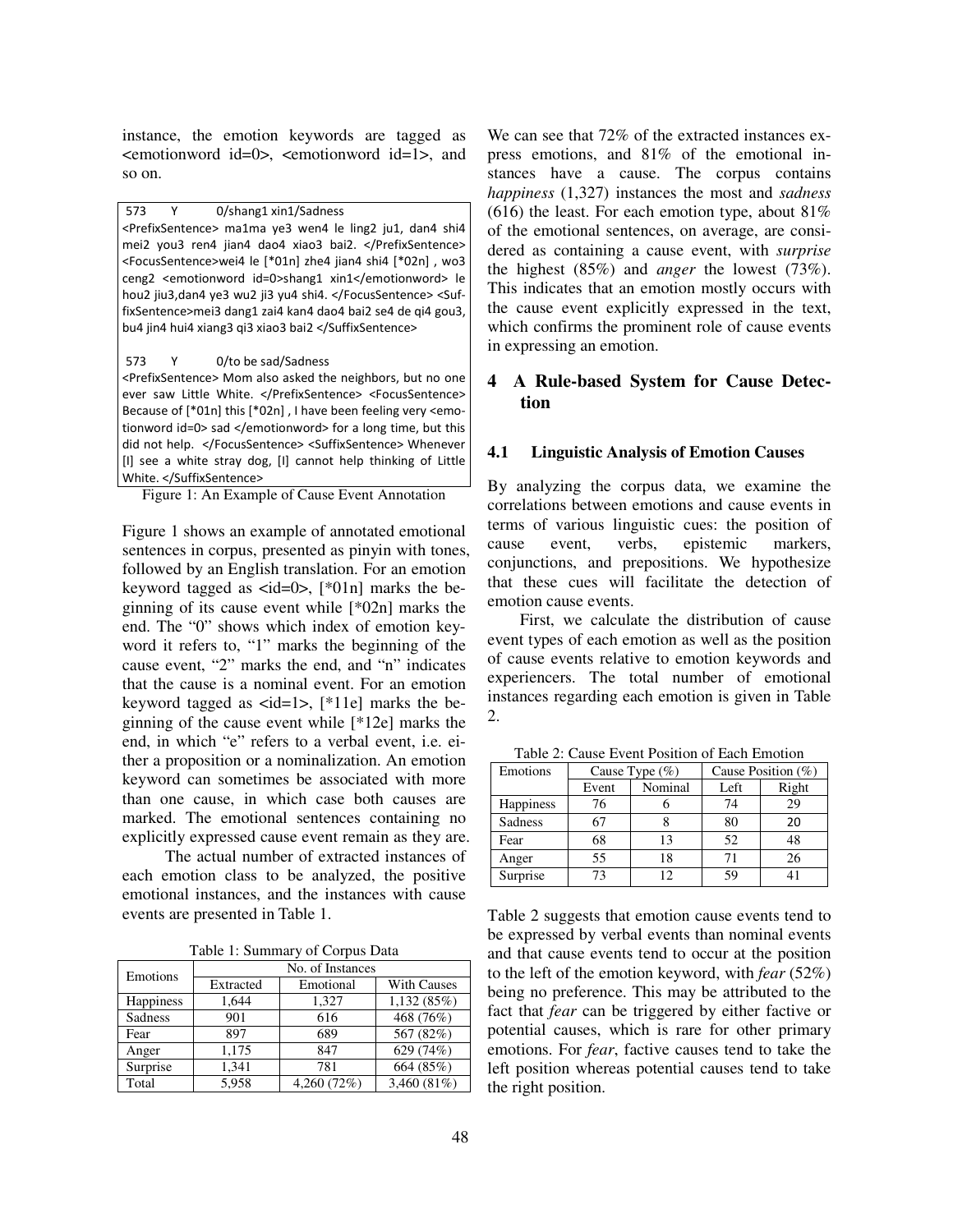instance, the emotion keywords are tagged as <emotionword id=0>, <emotionword id=1>, and so on.

573 Y 0/shang1 xin1/Sadness

<PrefixSentence> ma1ma ye3 wen4 le ling2 ju1, dan4 shi4 mei2 you3 ren4 jian4 dao4 xiao3 bai2. </PrefixSentence> <FocusSentence>wei4 le [\*01n] zhe4 jian4 shi4 [\*02n] , wo3 ceng2 <emotionword id=0>shang1 xin1</emotionword> le hou2 jiu3,dan4 ye3 wu2 ji3 yu4 shi4. </FocusSentence> <SuffixSentence>mei3 dang1 zai4 kan4 dao4 bai2 se4 de qi4 gou3, bu4 jin4 hui4 xiang3 qi3 xiao3 bai2 </SuffixSentence>

573 Y 0/to be sad/Sadness

<PrefixSentence> Mom also asked the neighbors, but no one ever saw Little White. </PrefixSentence> <FocusSentence> Because of [\*01n] this [\*02n] , I have been feeling very <emotionword id=0> sad </emotionword> for a long time, but this did not help. </FocusSentence> <SuffixSentence> Whenever [I] see a white stray dog, [I] cannot help thinking of Little White. </SuffixSentence>

Figure 1: An Example of Cause Event Annotation

Figure 1 shows an example of annotated emotional sentences in corpus, presented as pinyin with tones, followed by an English translation. For an emotion keyword tagged as  $\langle \text{id=0}\rangle$ , [\*01n] marks the beginning of its cause event while [\*02n] marks the end. The "0" shows which index of emotion keyword it refers to, "1" marks the beginning of the cause event, "2" marks the end, and "n" indicates that the cause is a nominal event. For an emotion keyword tagged as  $\langle id=1 \rangle$ , [\*11e] marks the beginning of the cause event while [\*12e] marks the end, in which "e" refers to a verbal event, i.e. either a proposition or a nominalization. An emotion keyword can sometimes be associated with more than one cause, in which case both causes are marked. The emotional sentences containing no explicitly expressed cause event remain as they are.

The actual number of extracted instances of each emotion class to be analyzed, the positive emotional instances, and the instances with cause events are presented in Table 1.

|  | Table 1: Summary of Corpus Data |  |  |  |
|--|---------------------------------|--|--|--|
|--|---------------------------------|--|--|--|

| Emotions         | No. of Instances |             |                    |  |  |
|------------------|------------------|-------------|--------------------|--|--|
|                  | Extracted        | Emotional   | <b>With Causes</b> |  |  |
| <b>Happiness</b> | 1.644            | 1,327       | 1,132(85%)         |  |  |
| Sadness          | 901              | 616         | 468 (76%)          |  |  |
| Fear             | 897              | 689         | 567 (82%)          |  |  |
| Anger            | 1,175            | 847         | 629 (74%)          |  |  |
| Surprise         | 1.341            | 781         | 664 (85%)          |  |  |
| Total            | 5.958            | 4,260 (72%) | 3,460 (81%)        |  |  |

We can see that 72% of the extracted instances express emotions, and 81% of the emotional instances have a cause. The corpus contains *happiness* (1,327) instances the most and *sadness*  (616) the least. For each emotion type, about  $81\%$ of the emotional sentences, on average, are considered as containing a cause event, with *surprise* the highest (85%) and *anger* the lowest (73%). This indicates that an emotion mostly occurs with the cause event explicitly expressed in the text, which confirms the prominent role of cause events in expressing an emotion.

# **4 A Rule-based System for Cause Detection**

#### **4.1 Linguistic Analysis of Emotion Causes**

By analyzing the corpus data, we examine the correlations between emotions and cause events in terms of various linguistic cues: the position of cause event, verbs, epistemic markers, conjunctions, and prepositions. We hypothesize that these cues will facilitate the detection of emotion cause events.

 First, we calculate the distribution of cause event types of each emotion as well as the position of cause events relative to emotion keywords and experiencers. The total number of emotional instances regarding each emotion is given in Table 2.

| Emotions         | Cause Type $(\%)$ |         | Cause Position $(\% )$ |             |
|------------------|-------------------|---------|------------------------|-------------|
|                  | Event             | Nominal | Left                   | Right       |
| <b>Happiness</b> | 76                |         | 74                     | 29          |
| <b>Sadness</b>   | 67                |         | 80                     | 20          |
| Fear             | 68                | 13      | 52                     | 48          |
| Anger            | 55                | 18      | 71                     | 26          |
| Surprise         | 73                | 12      | 59                     | $4^{\circ}$ |

Table 2: Cause Event Position of Each Emotion

Table 2 suggests that emotion cause events tend to be expressed by verbal events than nominal events and that cause events tend to occur at the position to the left of the emotion keyword, with *fear* (52%) being no preference. This may be attributed to the fact that *fear* can be triggered by either factive or potential causes, which is rare for other primary emotions. For *fear*, factive causes tend to take the left position whereas potential causes tend to take the right position.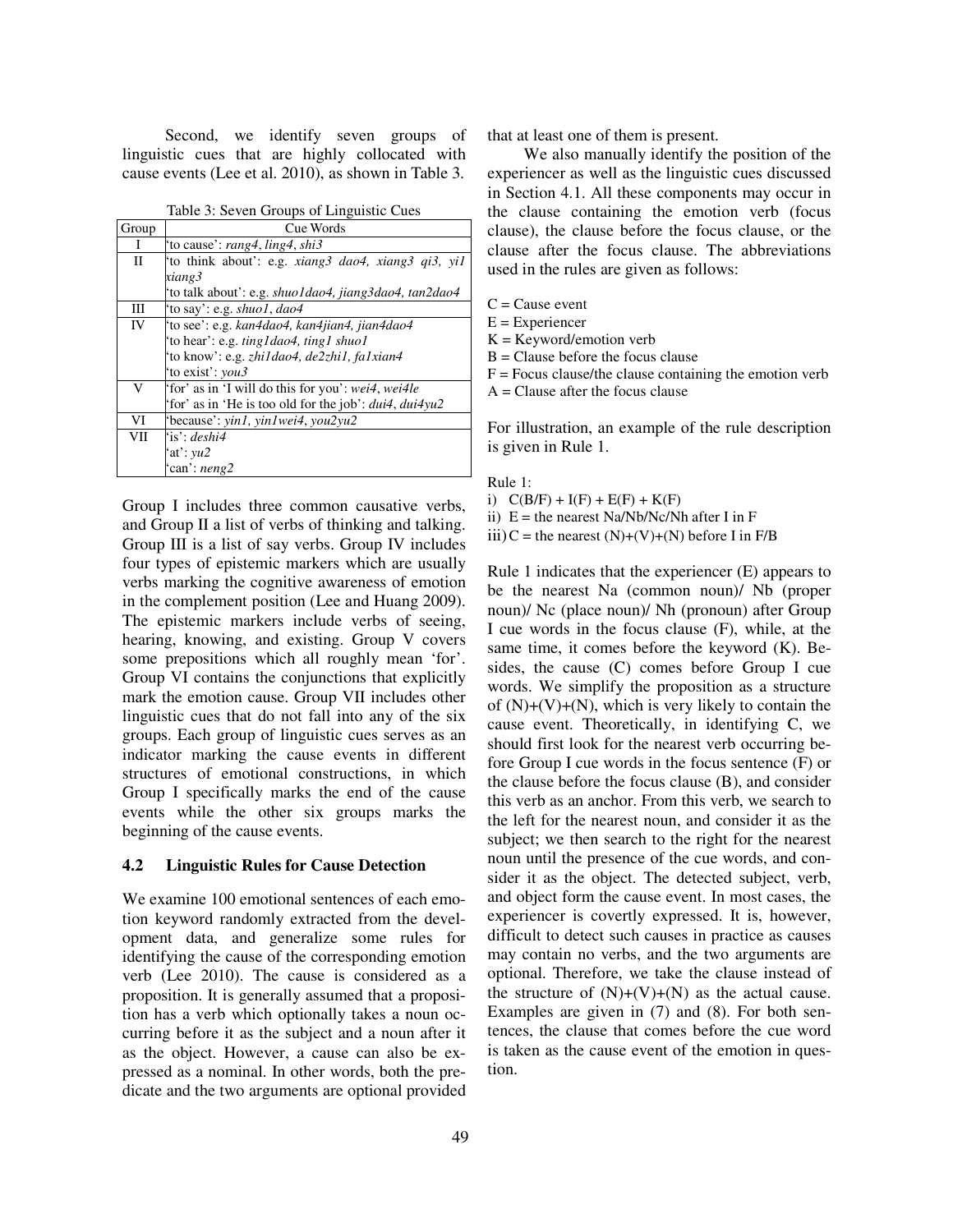Second, we identify seven groups of linguistic cues that are highly collocated with cause events (Lee et al. 2010), as shown in Table 3.

Table 3: Seven Groups of Linguistic Cues

| Group        | Cue Words                                                    |
|--------------|--------------------------------------------------------------|
| I            | 'to cause': rang4, ling4, shi3                               |
| $\mathbf{I}$ | 'to think about': e.g. xiang3 dao4, xiang3 qi3, yi1          |
|              | xiang3                                                       |
|              | 'to talk about': e.g. <i>shuo1dao4, jiang3dao4, tan2dao4</i> |
| Ш            | 'to say': e.g. <i>shuo1</i> , <i>dao4</i>                    |
| IV           | 'to see': e.g. kan4dao4, kan4jian4, jian4dao4                |
|              | 'to hear': e.g. ting I dao 4, ting 1 shuo 1                  |
|              | 'to know': e.g. zhi1dao4, de2zhi1, fa1xian4                  |
|              | 'to exist': <i>you3</i>                                      |
| V            | 'for' as in 'I will do this for you': wei4, wei4le           |
|              | 'for' as in 'He is too old for the job': dui4, dui4yu2       |
| VI           | 'because': yin1, yin1wei4, you2yu2                           |
| VII          | $i s$ : deshi4                                               |
|              | at: $vu2$                                                    |
|              | 'can': neng2                                                 |

Group I includes three common causative verbs, and Group II a list of verbs of thinking and talking. Group III is a list of say verbs. Group IV includes four types of epistemic markers which are usually verbs marking the cognitive awareness of emotion in the complement position (Lee and Huang 2009). The epistemic markers include verbs of seeing, hearing, knowing, and existing. Group V covers some prepositions which all roughly mean 'for'. Group VI contains the conjunctions that explicitly mark the emotion cause. Group VII includes other linguistic cues that do not fall into any of the six groups. Each group of linguistic cues serves as an indicator marking the cause events in different structures of emotional constructions, in which Group I specifically marks the end of the cause events while the other six groups marks the beginning of the cause events.

#### **4.2 Linguistic Rules for Cause Detection**

We examine 100 emotional sentences of each emotion keyword randomly extracted from the development data, and generalize some rules for identifying the cause of the corresponding emotion verb (Lee 2010). The cause is considered as a proposition. It is generally assumed that a proposition has a verb which optionally takes a noun occurring before it as the subject and a noun after it as the object. However, a cause can also be expressed as a nominal. In other words, both the predicate and the two arguments are optional provided that at least one of them is present.

We also manually identify the position of the experiencer as well as the linguistic cues discussed in Section 4.1. All these components may occur in the clause containing the emotion verb (focus clause), the clause before the focus clause, or the clause after the focus clause. The abbreviations used in the rules are given as follows:

 $C =$ Cause event

 $E =$ Experiencer

 $K = K$ eyword/emotion verb

 $B =$ Clause before the focus clause

 $F =$  Focus clause/the clause containing the emotion verb

 $A =$ Clause after the focus clause

For illustration, an example of the rule description is given in Rule 1.

Rule 1:

i)  $C(B/F) + I(F) + E(F) + K(F)$ 

ii)  $E =$  the nearest Na/Nb/Nc/Nh after I in F

 $iii)C$  = the nearest  $(N)+(V)+(N)$  before I in F/B

Rule 1 indicates that the experiencer (E) appears to be the nearest Na (common noun)/ Nb (proper noun)/ Nc (place noun)/ Nh (pronoun) after Group I cue words in the focus clause (F), while, at the same time, it comes before the keyword (K). Besides, the cause (C) comes before Group I cue words. We simplify the proposition as a structure of  $(N)+(V)+(N)$ , which is very likely to contain the cause event. Theoretically, in identifying C, we should first look for the nearest verb occurring before Group I cue words in the focus sentence (F) or the clause before the focus clause (B), and consider this verb as an anchor. From this verb, we search to the left for the nearest noun, and consider it as the subject; we then search to the right for the nearest noun until the presence of the cue words, and consider it as the object. The detected subject, verb, and object form the cause event. In most cases, the experiencer is covertly expressed. It is, however, difficult to detect such causes in practice as causes may contain no verbs, and the two arguments are optional. Therefore, we take the clause instead of the structure of  $(N)+(V)+(N)$  as the actual cause. Examples are given in (7) and (8). For both sentences, the clause that comes before the cue word is taken as the cause event of the emotion in question.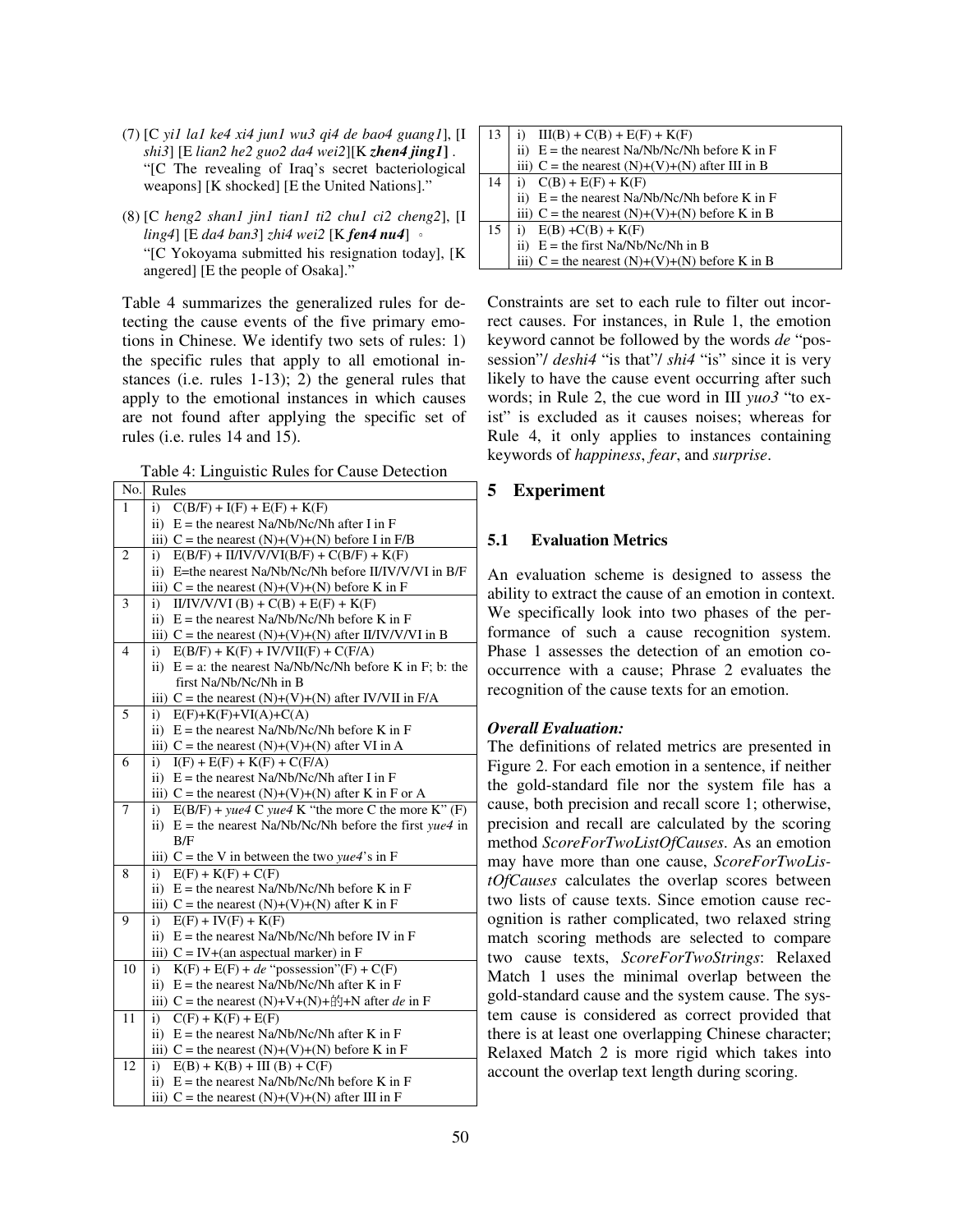- (7) [C *yi1 la1 ke4 xi4 jun1 wu3 qi4 de bao4 guang1*], [I *shi3*] [E *lian2 he2 guo2 da4 wei2*][K *zhen4 jing1***]** . "[C The revealing of Iraq's secret bacteriological weapons] [K shocked] [E the United Nations]."
- (8) [C *heng2 shan1 jin1 tian1 ti2 chu1 ci2 cheng2*], [I *ling4*] [E *da4 ban3*] *zhi4 wei2* [K *fen4 nu4*] 。 "[C Yokoyama submitted his resignation today], [K angered] [E the people of Osaka]."

Table 4 summarizes the generalized rules for detecting the cause events of the five primary emotions in Chinese. We identify two sets of rules: 1) the specific rules that apply to all emotional instances (i.e. rules 1-13); 2) the general rules that apply to the emotional instances in which causes are not found after applying the specific set of rules (i.e. rules 14 and 15).

Table 4: Linguistic Rules for Cause Detection

| No.            | $\cdots$<br>where really for cause<br>Rules                                           |
|----------------|---------------------------------------------------------------------------------------|
| $\mathbf{1}$   | i) $C(B/F) + I(F) + E(F) + K(F)$                                                      |
|                | $E =$ the nearest Na/Nb/Nc/Nh after I in F<br>$\mathbf{ii}$                           |
|                | iii) $C$ = the nearest (N)+(V)+(N) before I in F/B                                    |
| $\mathbf{2}$   | $E(B/F) + II/IV/VVI(B/F) + C(B/F) + K(F)$<br>i)                                       |
|                | E=the nearest Na/Nb/Nc/Nh before II/IV/V/VI in B/F<br>ii)                             |
|                | iii) C = the nearest $(N)+(V)+(N)$ before K in F                                      |
| 3              | $II/IV/V/I(B) + C(B) + E(F) + K(F)$<br>i)                                             |
|                | $E =$ the nearest Na/Nb/Nc/Nh before K in F<br>$\mathbf{ii}$                          |
|                | iii) $C$ = the nearest (N)+(V)+(N) after II/IV/V/VI in B                              |
| $\overline{4}$ | $E(B/F) + K(F) + IV/VII(F) + C(F/A)$<br>i)                                            |
|                | $E = a$ : the nearest Na/Nb/Nc/Nh before K in F; b: the<br>$\mathbf{ii}$              |
|                | first Na/Nb/Nc/Nh in B                                                                |
|                | iii) $C$ = the nearest (N)+(V)+(N) after IV/VII in F/A                                |
| 5              | $E(F)+K(F)+VI(A)+C(A)$<br>i)                                                          |
|                | $E$ = the nearest Na/Nb/Nc/Nh before K in F<br>$\mathbf{ii}$ )                        |
|                | iii) $C$ = the nearest $(N)+(V)+(N)$ after VI in A                                    |
| 6              | $I(F) + E(F) + K(F) + C(F/A)$<br>i)<br>ii) $E =$ the nearest Na/Nb/Nc/Nh after I in F |
|                | iii) C = the nearest (N)+(V)+(N) after K in F or A                                    |
| $\overline{7}$ | $E(B/F)$ + yue4 C yue4 K "the more C the more K" (F)<br>i)                            |
|                | ii) E = the nearest Na/Nb/Nc/Nh before the first $yue4$ in                            |
|                | B/F                                                                                   |
|                | iii) C = the V in between the two yue4's in F                                         |
| 8              | $E(F) + K(F) + C(F)$<br>i)                                                            |
|                | ii) $E =$ the nearest Na/Nb/Nc/Nh before K in F                                       |
|                | iii) C = the nearest $(N)+(V)+(N)$ after K in F                                       |
| 9              | $E(F) + IV(F) + K(F)$<br>i)                                                           |
|                | ii) $E =$ the nearest Na/Nb/Nc/Nh before IV in F                                      |
|                | iii) $C = IV + (an a spectral marker)$ in F                                           |
| 10             | $K(F) + E(F) + de$ "possession"(F) + C(F)<br>i)                                       |
|                | $E$ = the nearest Na/Nb/Nc/Nh after K in F<br>$\mathbf{ii}$                           |
|                | iii) C = the nearest (N)+V+(N)+ff+N after de in F                                     |
| 11             | $C(F) + K(F) + E(F)$<br>i)                                                            |
|                | $E$ = the nearest Na/Nb/Nc/Nh after K in F<br>$\mathbf{ii}$                           |
|                | iii) C = the nearest $(N)+(V)+(N)$ before K in F                                      |
| 12             | $E(B) + K(B) + III (B) + C(F)$<br>i)                                                  |
|                | ii) $E =$ the nearest Na/Nb/Nc/Nh before K in F                                       |
|                | iii) $C$ = the nearest (N)+(V)+(N) after III in F                                     |

|    | $III(B) + C(B) + E(F) + K(F)$                                   |
|----|-----------------------------------------------------------------|
|    | ii) $E =$ the nearest Na/Nb/Nc/Nh before K in F                 |
|    | iii) $C =$ the nearest $(N)+(V)+(N)$ after III in B             |
| 14 | i) $C(B) + E(F) + K(F)$                                         |
|    | ii) $E =$ the nearest Na/Nb/Nc/Nh before K in F                 |
|    | iii) $C$ = the nearest $(N)+(V)+(N)$ before K in B              |
| 15 |                                                                 |
|    | i) $E(B) + C(B) + K(F)$<br>ii) $E =$ the first Na/Nb/Nc/Nh in B |
|    | iii) $C$ = the nearest (N)+(V)+(N) before K in B                |

Constraints are set to each rule to filter out incorrect causes. For instances, in Rule 1, the emotion keyword cannot be followed by the words *de* "possession"/ *deshi4* "is that"/ *shi4* "is" since it is very likely to have the cause event occurring after such words; in Rule 2, the cue word in III *yuo3* "to exist" is excluded as it causes noises; whereas for Rule 4, it only applies to instances containing keywords of *happiness*, *fear*, and *surprise*.

# **5 Experiment**

# **5.1 Evaluation Metrics**

An evaluation scheme is designed to assess the ability to extract the cause of an emotion in context. We specifically look into two phases of the performance of such a cause recognition system. Phase 1 assesses the detection of an emotion cooccurrence with a cause; Phrase 2 evaluates the recognition of the cause texts for an emotion.

## *Overall Evaluation:*

The definitions of related metrics are presented in Figure 2. For each emotion in a sentence, if neither the gold-standard file nor the system file has a cause, both precision and recall score 1; otherwise, precision and recall are calculated by the scoring method *ScoreForTwoListOfCauses*. As an emotion may have more than one cause, *ScoreForTwoListOfCauses* calculates the overlap scores between two lists of cause texts. Since emotion cause recognition is rather complicated, two relaxed string match scoring methods are selected to compare two cause texts, *ScoreForTwoStrings*: Relaxed Match 1 uses the minimal overlap between the gold-standard cause and the system cause. The system cause is considered as correct provided that there is at least one overlapping Chinese character; Relaxed Match 2 is more rigid which takes into account the overlap text length during scoring.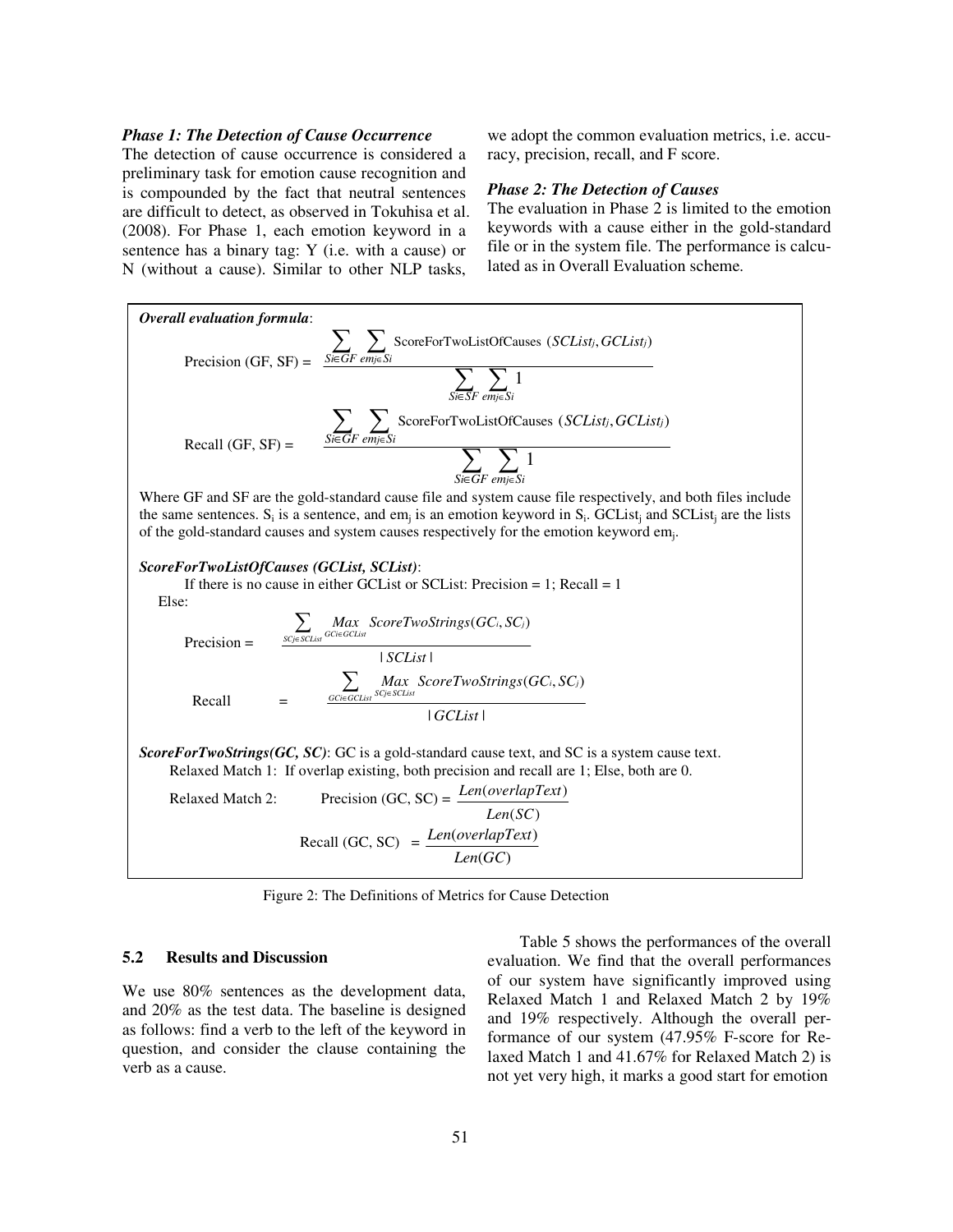#### *Phase 1: The Detection of Cause Occurrence*

The detection of cause occurrence is considered a preliminary task for emotion cause recognition and is compounded by the fact that neutral sentences are difficult to detect, as observed in Tokuhisa et al. (2008). For Phase 1, each emotion keyword in a sentence has a binary tag: Y (i.e. with a cause) or N (without a cause). Similar to other NLP tasks,

we adopt the common evaluation metrics, i.e. accuracy, precision, recall, and F score.

#### *Phase 2: The Detection of Causes*

The evaluation in Phase 2 is limited to the emotion keywords with a cause either in the gold-standard file or in the system file. The performance is calculated as in Overall Evaluation scheme.



Figure 2: The Definitions of Metrics for Cause Detection

#### **5.2 Results and Discussion**

We use 80% sentences as the development data, and 20% as the test data. The baseline is designed as follows: find a verb to the left of the keyword in question, and consider the clause containing the verb as a cause.

Table 5 shows the performances of the overall evaluation. We find that the overall performances of our system have significantly improved using Relaxed Match 1 and Relaxed Match 2 by 19% and 19% respectively. Although the overall performance of our system (47.95% F-score for Relaxed Match 1 and 41.67% for Relaxed Match 2) is not yet very high, it marks a good start for emotion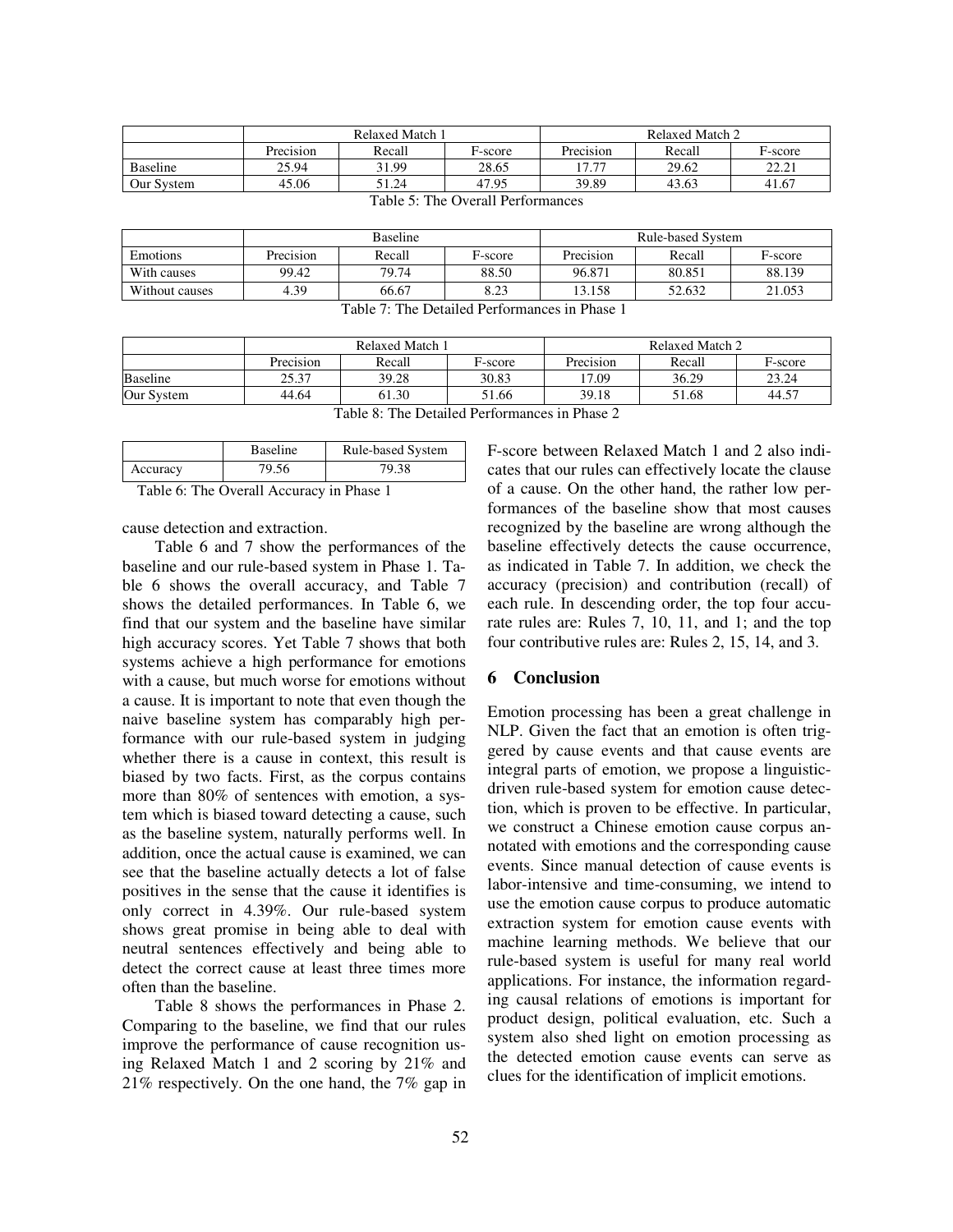|                                                          | Relaxed Match 1 |        |         | Relaxed Match 2 |        |         |
|----------------------------------------------------------|-----------------|--------|---------|-----------------|--------|---------|
|                                                          | Precision       | Recall | F-score | Precision       | Recall | F-score |
| <b>Baseline</b>                                          | 25.94           | 31.99  | 28.65   | 17.77           | 29.62  | 22.21   |
| Our System                                               | 45.06           | 51.24  | 47.95   | 39.89           | 43.63  | 41.67   |
| $11 \, \mathrm{I}$ $\alpha$<br>$m + 1$ $r - m$<br>$\sim$ |                 |        |         |                 |        |         |

|                                               | <b>Baseline</b> |        |         | Rule-based System |        |         |
|-----------------------------------------------|-----------------|--------|---------|-------------------|--------|---------|
| <b>Emotions</b>                               | Precision       | Recall | F-score | Precision         | Recall | F-score |
| With causes                                   | 99.42           | 79.74  | 88.50   | 96.871            | 80.851 | 88.139  |
| Without causes                                | 4.39            | 66.67  | 8.23    | 13.158            | 52.632 | 21.053  |
| Tebla 7: The Detailed Devfermences in Phase 1 |                 |        |         |                   |        |         |

Table 5: The Overall Performances

| Table 7: The Detailed Performances in Phase 1 |  |
|-----------------------------------------------|--|
|-----------------------------------------------|--|

|                                                                  | Relaxed Match 1 |        | Relaxed Match 2 |           |        |         |
|------------------------------------------------------------------|-----------------|--------|-----------------|-----------|--------|---------|
|                                                                  | Precision       | Recall | F-score         | Precision | Recall | F-score |
| <b>Baseline</b>                                                  | 25.37           | 39.28  | 30.83           | 17.09     | 36.29  | 23.24   |
| Our System<br>39.18<br>51.68<br>44.64<br>61.30<br>51.66<br>44.57 |                 |        |                 |           |        |         |
| Table 8: The Detailed Performances in Phase 2                    |                 |        |                 |           |        |         |

|          | <b>Baseline</b> | <b>Rule-based System</b> |
|----------|-----------------|--------------------------|
| Accuracy | 79.56           | 79.38                    |

Table 6: The Overall Accuracy in Phase 1

cause detection and extraction.

Table 6 and 7 show the performances of the baseline and our rule-based system in Phase 1. Table 6 shows the overall accuracy, and Table 7 shows the detailed performances. In Table 6, we find that our system and the baseline have similar high accuracy scores. Yet Table 7 shows that both systems achieve a high performance for emotions with a cause, but much worse for emotions without a cause. It is important to note that even though the naive baseline system has comparably high performance with our rule-based system in judging whether there is a cause in context, this result is biased by two facts. First, as the corpus contains more than 80% of sentences with emotion, a system which is biased toward detecting a cause, such as the baseline system, naturally performs well. In addition, once the actual cause is examined, we can see that the baseline actually detects a lot of false positives in the sense that the cause it identifies is only correct in 4.39%. Our rule-based system shows great promise in being able to deal with neutral sentences effectively and being able to detect the correct cause at least three times more often than the baseline.

Table 8 shows the performances in Phase 2. Comparing to the baseline, we find that our rules improve the performance of cause recognition using Relaxed Match 1 and 2 scoring by 21% and 21% respectively. On the one hand, the 7% gap in F-score between Relaxed Match 1 and 2 also indicates that our rules can effectively locate the clause of a cause. On the other hand, the rather low performances of the baseline show that most causes recognized by the baseline are wrong although the baseline effectively detects the cause occurrence, as indicated in Table 7. In addition, we check the accuracy (precision) and contribution (recall) of each rule. In descending order, the top four accurate rules are: Rules 7, 10, 11, and 1; and the top four contributive rules are: Rules 2, 15, 14, and 3.

#### **6 Conclusion**

Emotion processing has been a great challenge in NLP. Given the fact that an emotion is often triggered by cause events and that cause events are integral parts of emotion, we propose a linguisticdriven rule-based system for emotion cause detection, which is proven to be effective. In particular, we construct a Chinese emotion cause corpus annotated with emotions and the corresponding cause events. Since manual detection of cause events is labor-intensive and time-consuming, we intend to use the emotion cause corpus to produce automatic extraction system for emotion cause events with machine learning methods. We believe that our rule-based system is useful for many real world applications. For instance, the information regarding causal relations of emotions is important for product design, political evaluation, etc. Such a system also shed light on emotion processing as the detected emotion cause events can serve as clues for the identification of implicit emotions.